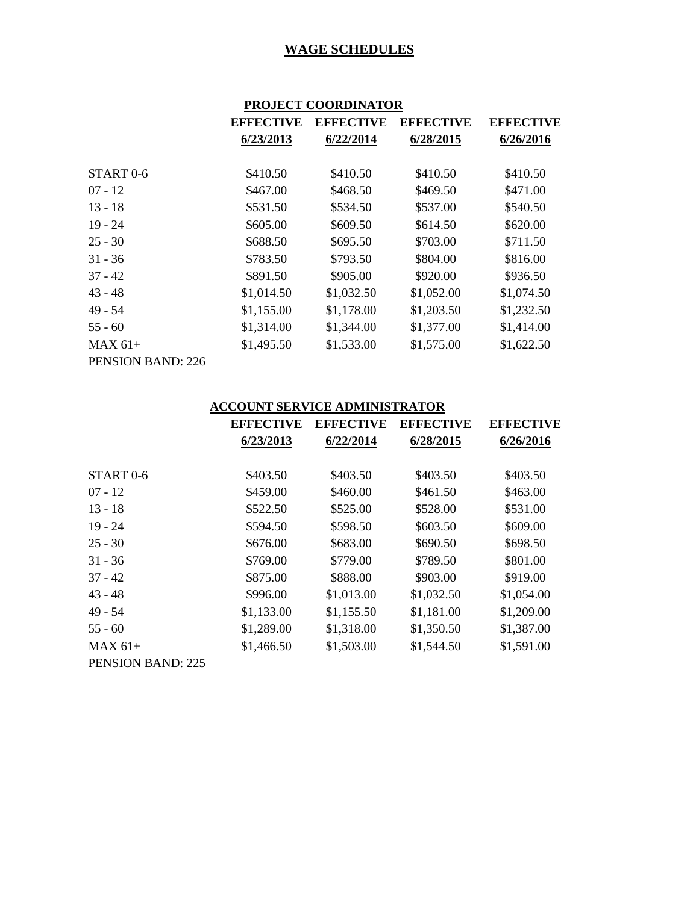| <b>PROJECT COORDINATOR</b> |
|----------------------------|
|----------------------------|

|                      | <b>EFFECTIVE</b> | <b>EFFECTIVE</b> | <b>EFFECTIVE</b> | <b>EFFECTIVE</b> |
|----------------------|------------------|------------------|------------------|------------------|
|                      | 6/23/2013        | 6/22/2014        | 6/28/2015        | 6/26/2016        |
|                      |                  |                  |                  |                  |
| START <sub>0-6</sub> | \$410.50         | \$410.50         | \$410.50         | \$410.50         |
| $07 - 12$            | \$467.00         | \$468.50         | \$469.50         | \$471.00         |
| $13 - 18$            | \$531.50         | \$534.50         | \$537.00         | \$540.50         |
| $19 - 24$            | \$605.00         | \$609.50         | \$614.50         | \$620.00         |
| $25 - 30$            | \$688.50         | \$695.50         | \$703.00         | \$711.50         |
| $31 - 36$            | \$783.50         | \$793.50         | \$804.00         | \$816.00         |
| $37 - 42$            | \$891.50         | \$905.00         | \$920.00         | \$936.50         |
| 43 - 48              | \$1,014.50       | \$1,032.50       | \$1,052.00       | \$1,074.50       |
| 49 - 54              | \$1,155.00       | \$1,178.00       | \$1,203.50       | \$1,232.50       |
| 55 - 60              | \$1,314.00       | \$1,344.00       | \$1,377.00       | \$1,414.00       |
| MAX 61+              | \$1,495.50       | \$1,533.00       | \$1,575.00       | \$1,622.50       |
| PENSION BAND: 226    |                  |                  |                  |                  |

# **ACCOUNT SERVICE ADMINISTRATOR**

|                          | <b>EFFECTIVE</b> | <b>EFFECTIVE</b> | <b>EFFECTIVE</b> | <b>EFFECTIVE</b> |
|--------------------------|------------------|------------------|------------------|------------------|
|                          | 6/23/2013        | 6/22/2014        | 6/28/2015        | 6/26/2016        |
| START <sub>0-6</sub>     | \$403.50         | \$403.50         | \$403.50         | \$403.50         |
| $07 - 12$                | \$459.00         | \$460.00         | \$461.50         | \$463.00         |
| $13 - 18$                | \$522.50         | \$525.00         | \$528.00         | \$531.00         |
| $19 - 24$                | \$594.50         | \$598.50         | \$603.50         | \$609.00         |
| $25 - 30$                | \$676.00         | \$683.00         | \$690.50         | \$698.50         |
| $31 - 36$                | \$769.00         | \$779.00         | \$789.50         | \$801.00         |
| $37 - 42$                | \$875.00         | \$888.00         | \$903.00         | \$919.00         |
| $43 - 48$                | \$996.00         | \$1,013.00       | \$1,032.50       | \$1,054.00       |
| $49 - 54$                | \$1,133.00       | \$1,155.50       | \$1,181.00       | \$1,209.00       |
| $55 - 60$                | \$1,289.00       | \$1,318.00       | \$1,350.50       | \$1,387.00       |
| $MAX 61+$                | \$1,466.50       | \$1,503.00       | \$1,544.50       | \$1,591.00       |
| <b>PENSION BAND: 225</b> |                  |                  |                  |                  |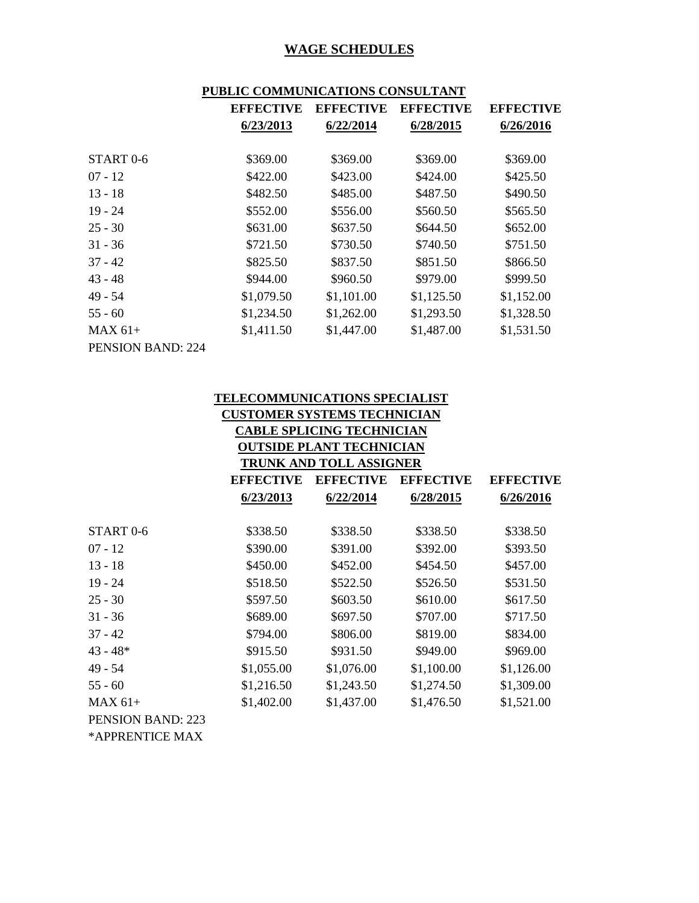| PUBLIC COMMUNICATIONS CONSULTANT |  |
|----------------------------------|--|

|                          | <b>EFFECTIVE</b> | <b>EFFECTIVE</b> | <b>EFFECTIVE</b> | <b>EFFECTIVE</b> |
|--------------------------|------------------|------------------|------------------|------------------|
|                          | 6/23/2013        | 6/22/2014        | 6/28/2015        | 6/26/2016        |
|                          |                  |                  |                  |                  |
| START <sub>0-6</sub>     | \$369.00         | \$369.00         | \$369.00         | \$369.00         |
| $07 - 12$                | \$422.00         | \$423.00         | \$424.00         | \$425.50         |
| $13 - 18$                | \$482.50         | \$485.00         | \$487.50         | \$490.50         |
| $19 - 24$                | \$552.00         | \$556.00         | \$560.50         | \$565.50         |
| $25 - 30$                | \$631.00         | \$637.50         | \$644.50         | \$652.00         |
| $31 - 36$                | \$721.50         | \$730.50         | \$740.50         | \$751.50         |
| $37 - 42$                | \$825.50         | \$837.50         | \$851.50         | \$866.50         |
| $43 - 48$                | \$944.00         | \$960.50         | \$979.00         | \$999.50         |
| $49 - 54$                | \$1,079.50       | \$1,101.00       | \$1,125.50       | \$1,152.00       |
| $55 - 60$                | \$1,234.50       | \$1,262.00       | \$1,293.50       | \$1,328.50       |
| $MAX 61+$                | \$1,411.50       | \$1,447.00       | \$1,487.00       | \$1,531.50       |
| <b>PENSION BAND: 224</b> |                  |                  |                  |                  |

|                                   | <b>TELECOMMUNICATIONS SPECIALIST</b> |                                  |                  |                  |  |
|-----------------------------------|--------------------------------------|----------------------------------|------------------|------------------|--|
|                                   | <b>CUSTOMER SYSTEMS TECHNICIAN</b>   |                                  |                  |                  |  |
|                                   |                                      | <b>CABLE SPLICING TECHNICIAN</b> |                  |                  |  |
| <b>OUTSIDE PLANT TECHNICIAN</b>   |                                      |                                  |                  |                  |  |
|                                   |                                      | <b>TRUNK AND TOLL ASSIGNER</b>   |                  |                  |  |
|                                   | <b>EFFECTIVE</b>                     | <b>EFFECTIVE</b>                 | <b>EFFECTIVE</b> | <b>EFFECTIVE</b> |  |
|                                   | 6/23/2013                            | 6/22/2014                        | 6/28/2015        | 6/26/2016        |  |
| START <sub>0-6</sub>              | \$338.50                             | \$338.50                         | \$338.50         | \$338.50         |  |
| $07 - 12$                         | \$390.00                             | \$391.00                         | \$392.00         | \$393.50         |  |
| $13 - 18$                         | \$450.00                             | \$452.00                         | \$454.50         | \$457.00         |  |
| $19 - 24$                         | \$518.50                             | \$522.50                         | \$526.50         | \$531.50         |  |
| $25 - 30$                         | \$597.50                             | \$603.50                         | \$610.00         | \$617.50         |  |
| $31 - 36$                         | \$689.00                             | \$697.50                         | \$707.00         | \$717.50         |  |
| $37 - 42$                         | \$794.00                             | \$806.00                         | \$819.00         | \$834.00         |  |
| $43 - 48*$                        | \$915.50                             | \$931.50                         | \$949.00         | \$969.00         |  |
| $49 - 54$                         | \$1,055.00                           | \$1,076.00                       | \$1,100.00       | \$1,126.00       |  |
| $55 - 60$                         | \$1,216.50                           | \$1,243.50                       | \$1,274.50       | \$1,309.00       |  |
| $MAX 61+$                         | \$1,402.00                           | \$1,437.00                       | \$1,476.50       | \$1,521.00       |  |
| <b>PENSION BAND: 223</b>          |                                      |                                  |                  |                  |  |
| <b><i>*</i></b> A DDD ENERICE MAV |                                      |                                  |                  |                  |  |

\*APPRENTICE MAX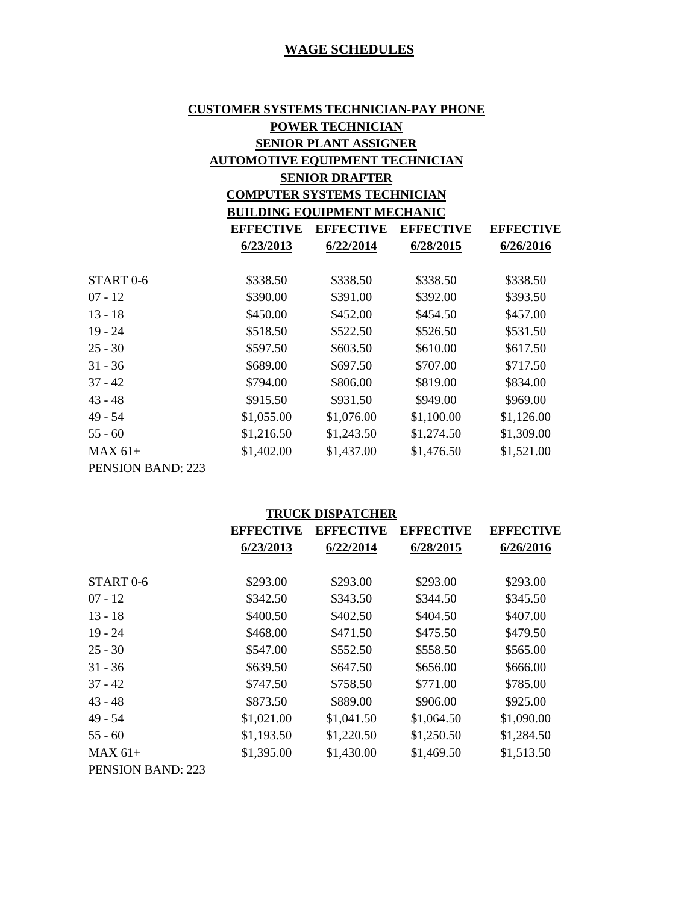# **CUSTOMER SYSTEMS TECHNICIAN-PAY PHONE POWER TECHNICIAN SENIOR PLANT ASSIGNER AUTOMOTIVE EQUIPMENT TECHNICIAN SENIOR DRAFTER**

# **COMPUTER SYSTEMS TECHNICIAN BUILDING EQUIPMENT MECHANIC**

|                          | <b>EFFECTIVE</b> | <b>EFFECTIVE</b> | <b>EFFECTIVE</b> | <b>EFFECTIVE</b> |
|--------------------------|------------------|------------------|------------------|------------------|
|                          | 6/23/2013        | 6/22/2014        | 6/28/2015        | 6/26/2016        |
|                          |                  |                  |                  |                  |
| START <sub>0-6</sub>     | \$338.50         | \$338.50         | \$338.50         | \$338.50         |
| $07 - 12$                | \$390.00         | \$391.00         | \$392.00         | \$393.50         |
| $13 - 18$                | \$450.00         | \$452.00         | \$454.50         | \$457.00         |
| $19 - 24$                | \$518.50         | \$522.50         | \$526.50         | \$531.50         |
| $25 - 30$                | \$597.50         | \$603.50         | \$610.00         | \$617.50         |
| $31 - 36$                | \$689.00         | \$697.50         | \$707.00         | \$717.50         |
| $37 - 42$                | \$794.00         | \$806.00         | \$819.00         | \$834.00         |
| $43 - 48$                | \$915.50         | \$931.50         | \$949.00         | \$969.00         |
| $49 - 54$                | \$1,055.00       | \$1,076.00       | \$1,100.00       | \$1,126.00       |
| $55 - 60$                | \$1,216.50       | \$1,243.50       | \$1,274.50       | \$1,309.00       |
| $MAX 61+$                | \$1,402.00       | \$1,437.00       | \$1,476.50       | \$1,521.00       |
| <b>PENSION BAND: 223</b> |                  |                  |                  |                  |

#### **TRUCK DISPATCHER**

|                          | <b>EFFECTIVE</b> | <b>EFFECTIVE</b> | <b>EFFECTIVE</b> | EFFECTIVE  |
|--------------------------|------------------|------------------|------------------|------------|
|                          | 6/23/2013        | 6/22/2014        | 6/28/2015        | 6/26/2016  |
| START <sub>0-6</sub>     | \$293.00         | \$293.00         | \$293.00         | \$293.00   |
| $07 - 12$                | \$342.50         | \$343.50         | \$344.50         | \$345.50   |
| $13 - 18$                | \$400.50         | \$402.50         | \$404.50         | \$407.00   |
| $19 - 24$                | \$468.00         | \$471.50         | \$475.50         | \$479.50   |
| $25 - 30$                | \$547.00         | \$552.50         | \$558.50         | \$565.00   |
| $31 - 36$                | \$639.50         | \$647.50         | \$656.00         | \$666.00   |
| $37 - 42$                | \$747.50         | \$758.50         | \$771.00         | \$785.00   |
| $43 - 48$                | \$873.50         | \$889.00         | \$906.00         | \$925.00   |
| $49 - 54$                | \$1,021.00       | \$1,041.50       | \$1,064.50       | \$1,090.00 |
| $55 - 60$                | \$1,193.50       | \$1,220.50       | \$1,250.50       | \$1,284.50 |
| $MAX 61+$                | \$1,395.00       | \$1,430.00       | \$1,469.50       | \$1,513.50 |
| <b>PENSION BAND: 223</b> |                  |                  |                  |            |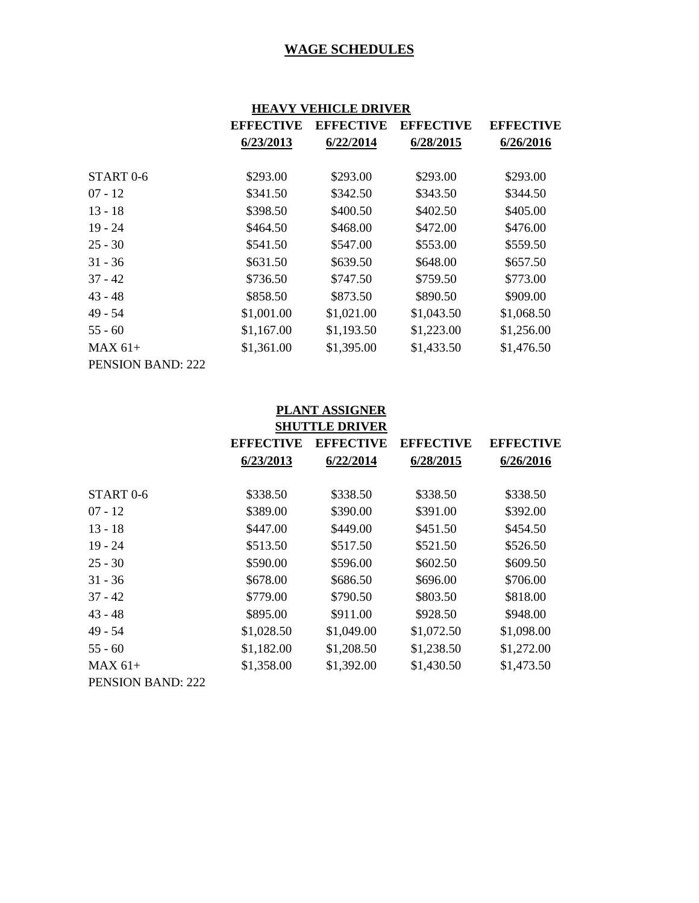|                          | HEAVY VEHICLE DRIVER |                  |                  |                  |  |
|--------------------------|----------------------|------------------|------------------|------------------|--|
|                          | <b>EFFECTIVE</b>     | <b>EFFECTIVE</b> | <b>EFFECTIVE</b> | <b>EFFECTIVE</b> |  |
|                          | 6/23/2013            | 6/22/2014        | 6/28/2015        | 6/26/2016        |  |
|                          |                      |                  |                  |                  |  |
| START <sub>0-6</sub>     | \$293.00             | \$293.00         | \$293.00         | \$293.00         |  |
| $07 - 12$                | \$341.50             | \$342.50         | \$343.50         | \$344.50         |  |
| $13 - 18$                | \$398.50             | \$400.50         | \$402.50         | \$405.00         |  |
| $19 - 24$                | \$464.50             | \$468.00         | \$472.00         | \$476.00         |  |
| $25 - 30$                | \$541.50             | \$547.00         | \$553.00         | \$559.50         |  |
| $31 - 36$                | \$631.50             | \$639.50         | \$648.00         | \$657.50         |  |
| $37 - 42$                | \$736.50             | \$747.50         | \$759.50         | \$773.00         |  |
| $43 - 48$                | \$858.50             | \$873.50         | \$890.50         | \$909.00         |  |
| $49 - 54$                | \$1,001.00           | \$1,021.00       | \$1,043.50       | \$1,068.50       |  |
| $55 - 60$                | \$1,167.00           | \$1,193.50       | \$1,223.00       | \$1,256.00       |  |
| $MAX 61+$                | \$1,361.00           | \$1,395.00       | \$1,433.50       | \$1,476.50       |  |
| <b>PENSION BAND: 222</b> |                      |                  |                  |                  |  |

| <b>PLANT ASSIGNER</b><br><b>SHUTTLE DRIVER</b> |                  |                  |                  |                  |
|------------------------------------------------|------------------|------------------|------------------|------------------|
|                                                | <b>EFFECTIVE</b> | <b>EFFECTIVE</b> | <b>EFFECTIVE</b> | <b>EFFECTIVE</b> |
|                                                | 6/23/2013        | 6/22/2014        | 6/28/2015        | 6/26/2016        |
| START <sub>0-6</sub>                           | \$338.50         | \$338.50         | \$338.50         | \$338.50         |
| $07 - 12$                                      | \$389.00         | \$390.00         | \$391.00         | \$392.00         |
| $13 - 18$                                      | \$447.00         | \$449.00         | \$451.50         | \$454.50         |
| $19 - 24$                                      | \$513.50         | \$517.50         | \$521.50         | \$526.50         |
| $25 - 30$                                      | \$590.00         | \$596.00         | \$602.50         | \$609.50         |
| $31 - 36$                                      | \$678.00         | \$686.50         | \$696.00         | \$706.00         |
| $37 - 42$                                      | \$779.00         | \$790.50         | \$803.50         | \$818.00         |
| $43 - 48$                                      | \$895.00         | \$911.00         | \$928.50         | \$948.00         |
| 49 - 54                                        | \$1,028.50       | \$1,049.00       | \$1,072.50       | \$1,098.00       |
| $55 - 60$                                      | \$1,182.00       | \$1,208.50       | \$1,238.50       | \$1,272.00       |
| $MAX 61+$                                      | \$1,358.00       | \$1,392.00       | \$1,430.50       | \$1,473.50       |
| <b>PENSION BAND: 222</b>                       |                  |                  |                  |                  |

# **IFAVY VEHICLE DR**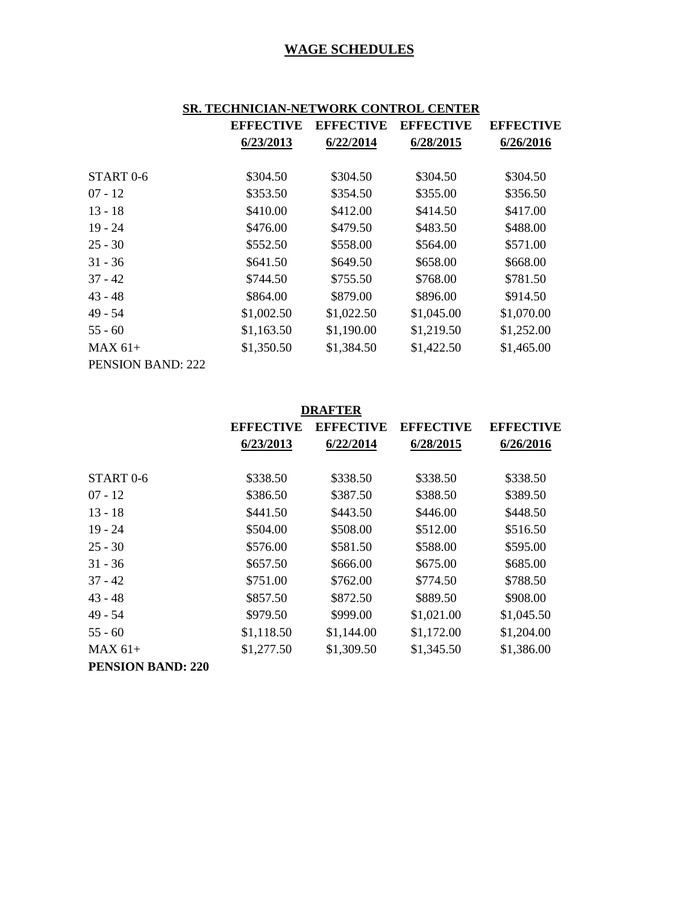# **SR. TECHNICIAN-NETWORK CONTROL CENTER**

|                          | <b>EFFECTIVE</b> | <b>EFFECTIVE</b> | <b>EFFECTIVE</b> | <b>EFFECTIVE</b> |
|--------------------------|------------------|------------------|------------------|------------------|
|                          | 6/23/2013        | 6/22/2014        | 6/28/2015        | 6/26/2016        |
|                          |                  |                  |                  |                  |
| START <sub>0-6</sub>     | \$304.50         | \$304.50         | \$304.50         | \$304.50         |
| $07 - 12$                | \$353.50         | \$354.50         | \$355.00         | \$356.50         |
| $13 - 18$                | \$410.00         | \$412.00         | \$414.50         | \$417.00         |
| $19 - 24$                | \$476.00         | \$479.50         | \$483.50         | \$488.00         |
| $25 - 30$                | \$552.50         | \$558.00         | \$564.00         | \$571.00         |
| $31 - 36$                | \$641.50         | \$649.50         | \$658.00         | \$668.00         |
| $37 - 42$                | \$744.50         | \$755.50         | \$768.00         | \$781.50         |
| $43 - 48$                | \$864.00         | \$879.00         | \$896.00         | \$914.50         |
| $49 - 54$                | \$1,002.50       | \$1,022.50       | \$1,045.00       | \$1,070.00       |
| $55 - 60$                | \$1,163.50       | \$1,190.00       | \$1,219.50       | \$1,252.00       |
| $MAX 61+$                | \$1,350.50       | \$1,384.50       | \$1,422.50       | \$1,465.00       |
| <b>PENSION BAND: 222</b> |                  |                  |                  |                  |

| <b>DRAFTER</b>           |                  |                  |                  |                  |
|--------------------------|------------------|------------------|------------------|------------------|
|                          | <b>EFFECTIVE</b> | <b>EFFECTIVE</b> | <b>EFFECTIVE</b> | <b>EFFECTIVE</b> |
|                          | 6/23/2013        | 6/22/2014        | 6/28/2015        | 6/26/2016        |
|                          |                  |                  |                  |                  |
| START <sub>0-6</sub>     | \$338.50         | \$338.50         | \$338.50         | \$338.50         |
| $07 - 12$                | \$386.50         | \$387.50         | \$388.50         | \$389.50         |
| $13 - 18$                | \$441.50         | \$443.50         | \$446.00         | \$448.50         |
| $19 - 24$                | \$504.00         | \$508.00         | \$512.00         | \$516.50         |
| $25 - 30$                | \$576.00         | \$581.50         | \$588.00         | \$595.00         |
| $31 - 36$                | \$657.50         | \$666.00         | \$675.00         | \$685.00         |
| $37 - 42$                | \$751.00         | \$762.00         | \$774.50         | \$788.50         |
| $43 - 48$                | \$857.50         | \$872.50         | \$889.50         | \$908.00         |
| 49 - 54                  | \$979.50         | \$999.00         | \$1,021.00       | \$1,045.50       |
| $55 - 60$                | \$1,118.50       | \$1,144.00       | \$1,172.00       | \$1,204.00       |
| $MAX 61+$                | \$1,277.50       | \$1,309.50       | \$1,345.50       | \$1,386.00       |
| <b>PENSION BAND: 220</b> |                  |                  |                  |                  |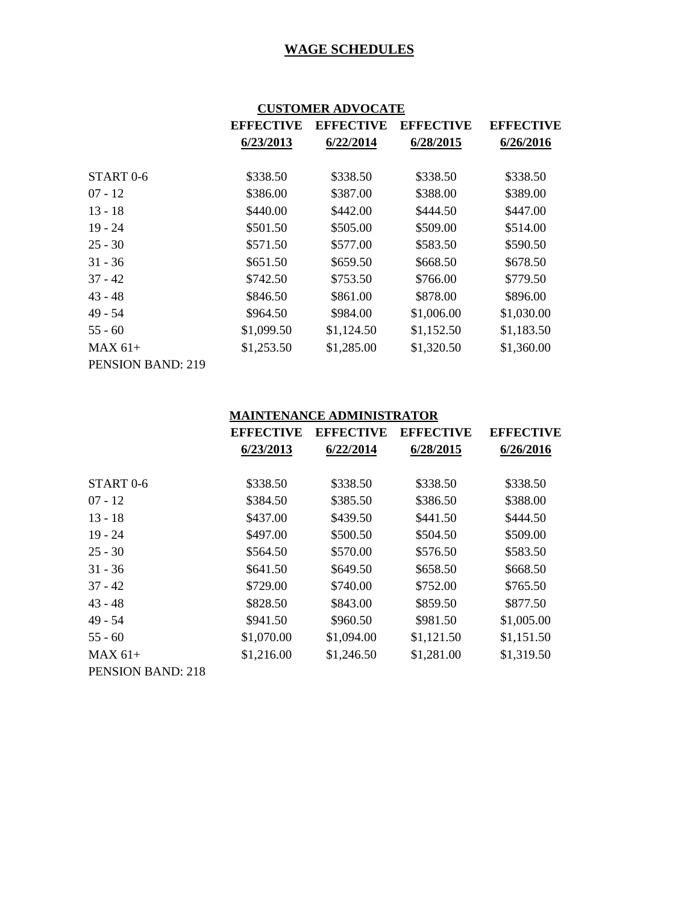|                   | <b>CUSTOMER ADVOCATE</b> |                  |                  |                  |
|-------------------|--------------------------|------------------|------------------|------------------|
|                   | <b>EFFECTIVE</b>         | <b>EFFECTIVE</b> | <b>EFFECTIVE</b> | <b>EFFECTIVE</b> |
|                   | 6/23/2013                | 6/22/2014        | 6/28/2015        | 6/26/2016        |
| START 0-6         | \$338.50                 | \$338.50         | \$338.50         | \$338.50         |
| 07 - 12           | \$386.00                 | \$387.00         | \$388.00         | \$389.00         |
| $13 - 18$         | \$440.00                 | \$442.00         | \$444.50         | \$447.00         |
| $19 - 24$         | \$501.50                 | \$505.00         | \$509.00         | \$514.00         |
| 25 - 30           | \$571.50                 | \$577.00         | \$583.50         | \$590.50         |
| $31 - 36$         | \$651.50                 | \$659.50         | \$668.50         | \$678.50         |
| $37 - 42$         | \$742.50                 | \$753.50         | \$766.00         | \$779.50         |
| 43 - 48           | \$846.50                 | \$861.00         | \$878.00         | \$896.00         |
| 49 - 54           | \$964.50                 | \$984.00         | \$1,006.00       | \$1,030.00       |
| 55 - 60           | \$1,099.50               | \$1,124.50       | \$1,152.50       | \$1,183.50       |
| MAX 61+           | \$1,253.50               | \$1,285.00       | \$1,320.50       | \$1,360.00       |
| PENSION BAND: 219 |                          |                  |                  |                  |

#### **MAINTENANCE ADMINISTRATOR**

|                          | <b>EFFECTIVE</b> | <b>EFFECTIVE</b> | <b>EFFECTIVE</b> | <b>EFFECTIVE</b> |
|--------------------------|------------------|------------------|------------------|------------------|
|                          | 6/23/2013        | 6/22/2014        | 6/28/2015        | 6/26/2016        |
|                          |                  |                  |                  |                  |
| START <sub>0-6</sub>     | \$338.50         | \$338.50         | \$338.50         | \$338.50         |
| $07 - 12$                | \$384.50         | \$385.50         | \$386.50         | \$388.00         |
| $13 - 18$                | \$437.00         | \$439.50         | \$441.50         | \$444.50         |
| $19 - 24$                | \$497.00         | \$500.50         | \$504.50         | \$509.00         |
| $25 - 30$                | \$564.50         | \$570.00         | \$576.50         | \$583.50         |
| $31 - 36$                | \$641.50         | \$649.50         | \$658.50         | \$668.50         |
| $37 - 42$                | \$729.00         | \$740.00         | \$752.00         | \$765.50         |
| $43 - 48$                | \$828.50         | \$843.00         | \$859.50         | \$877.50         |
| $49 - 54$                | \$941.50         | \$960.50         | \$981.50         | \$1,005.00       |
| $55 - 60$                | \$1,070.00       | \$1,094.00       | \$1,121.50       | \$1,151.50       |
| $MAX 61+$                | \$1,216.00       | \$1,246.50       | \$1,281.00       | \$1,319.50       |
| <b>PENSION BAND: 218</b> |                  |                  |                  |                  |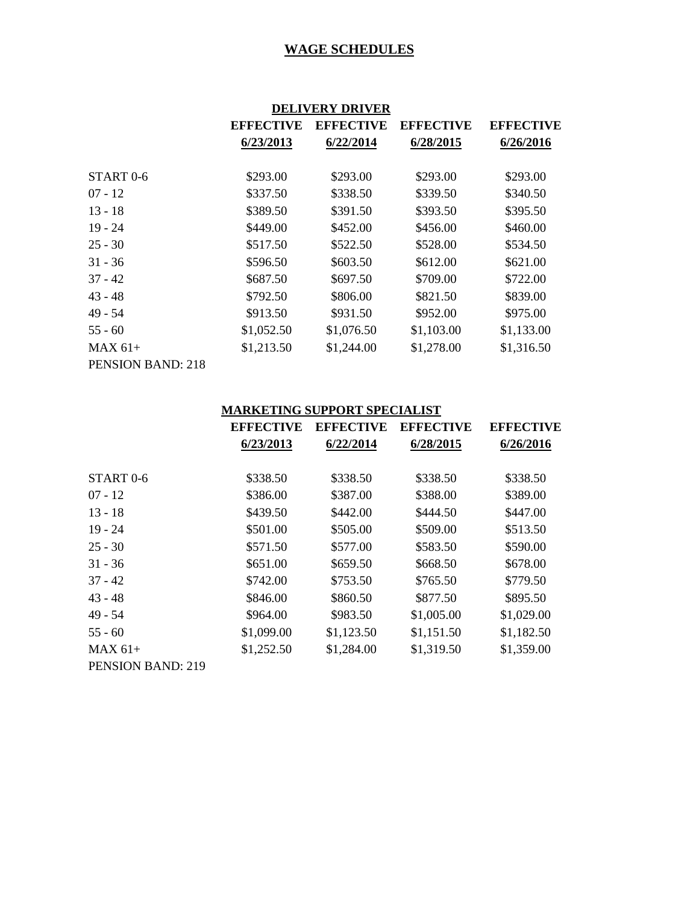|                          | <b>DELIVERY DRIVER</b> |                  |                  |                  |
|--------------------------|------------------------|------------------|------------------|------------------|
|                          | <b>EFFECTIVE</b>       | <b>EFFECTIVE</b> | <b>EFFECTIVE</b> | <b>EFFECTIVE</b> |
|                          | 6/23/2013              | 6/22/2014        | 6/28/2015        | 6/26/2016        |
| START <sub>0-6</sub>     | \$293.00               | \$293.00         | \$293.00         | \$293.00         |
| $07 - 12$                | \$337.50               | \$338.50         | \$339.50         | \$340.50         |
| $13 - 18$                | \$389.50               | \$391.50         | \$393.50         | \$395.50         |
| $19 - 24$                | \$449.00               | \$452.00         | \$456.00         | \$460.00         |
| $25 - 30$                | \$517.50               | \$522.50         | \$528.00         | \$534.50         |
| $31 - 36$                | \$596.50               | \$603.50         | \$612.00         | \$621.00         |
| $37 - 42$                | \$687.50               | \$697.50         | \$709.00         | \$722.00         |
| $43 - 48$                | \$792.50               | \$806.00         | \$821.50         | \$839.00         |
| 49 - 54                  | \$913.50               | \$931.50         | \$952.00         | \$975.00         |
| $55 - 60$                | \$1,052.50             | \$1,076.50       | \$1,103.00       | \$1,133.00       |
| $MAX 61+$                | \$1,213.50             | \$1,244.00       | \$1,278.00       | \$1,316.50       |
| <b>PENSION BAND: 218</b> |                        |                  |                  |                  |

# **MARKETING SUPPORT SPECIALIST**

|                          | <b>EFFECTIVE</b> | <b>EFFECTIVE</b> | <b>EFFECTIVE</b> | <b>EFFECTIVE</b> |
|--------------------------|------------------|------------------|------------------|------------------|
|                          | 6/23/2013        | 6/22/2014        | 6/28/2015        | 6/26/2016        |
| START <sub>0-6</sub>     | \$338.50         | \$338.50         | \$338.50         | \$338.50         |
|                          |                  |                  |                  |                  |
| $07 - 12$                | \$386.00         | \$387.00         | \$388.00         | \$389.00         |
| $13 - 18$                | \$439.50         | \$442.00         | \$444.50         | \$447.00         |
| $19 - 24$                | \$501.00         | \$505.00         | \$509.00         | \$513.50         |
| $25 - 30$                | \$571.50         | \$577.00         | \$583.50         | \$590.00         |
| $31 - 36$                | \$651.00         | \$659.50         | \$668.50         | \$678.00         |
| $37 - 42$                | \$742.00         | \$753.50         | \$765.50         | \$779.50         |
| $43 - 48$                | \$846.00         | \$860.50         | \$877.50         | \$895.50         |
| $49 - 54$                | \$964.00         | \$983.50         | \$1,005.00       | \$1,029.00       |
| $55 - 60$                | \$1,099.00       | \$1,123.50       | \$1,151.50       | \$1,182.50       |
| $MAX 61+$                | \$1,252.50       | \$1,284.00       | \$1,319.50       | \$1,359.00       |
| <b>PENSION BAND: 219</b> |                  |                  |                  |                  |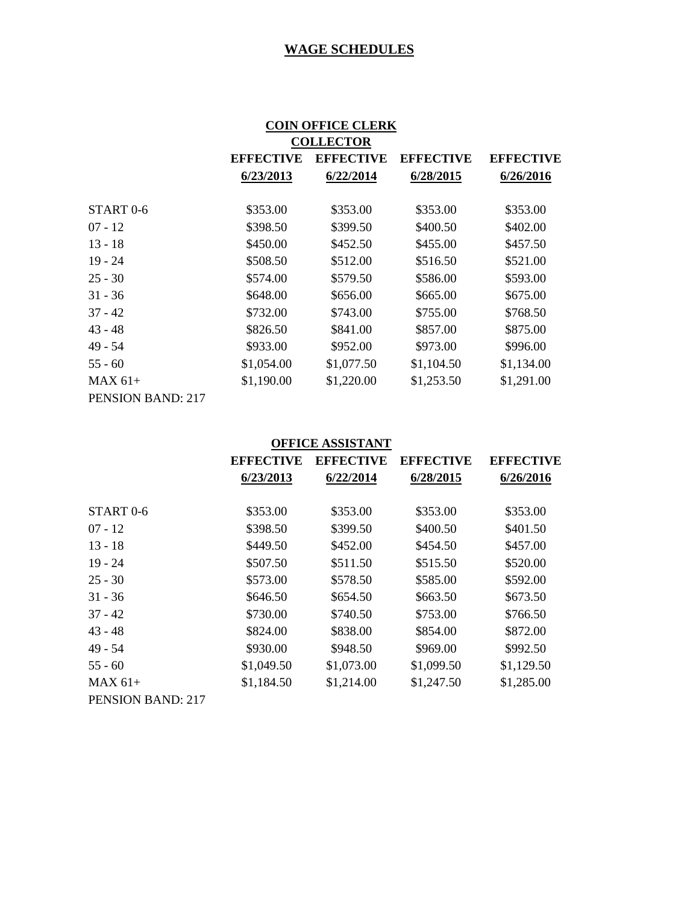| <b>COIN OFFICE CLERK</b> |                  |                  |                  |            |  |
|--------------------------|------------------|------------------|------------------|------------|--|
| <b>COLLECTOR</b>         |                  |                  |                  |            |  |
|                          | <b>EFFECTIVE</b> | <b>EFFECTIVE</b> | <b>EFFECTIVE</b> |            |  |
|                          | 6/23/2013        | 6/22/2014        | 6/28/2015        | 6/26/2016  |  |
|                          |                  |                  |                  |            |  |
| START <sub>0-6</sub>     | \$353.00         | \$353.00         | \$353.00         | \$353.00   |  |
| $07 - 12$                | \$398.50         | \$399.50         | \$400.50         | \$402.00   |  |
| $13 - 18$                | \$450.00         | \$452.50         | \$455.00         | \$457.50   |  |
| $19 - 24$                | \$508.50         | \$512.00         | \$516.50         | \$521.00   |  |
| $25 - 30$                | \$574.00         | \$579.50         | \$586.00         | \$593.00   |  |
| $31 - 36$                | \$648.00         | \$656.00         | \$665.00         | \$675.00   |  |
| $37 - 42$                | \$732.00         | \$743.00         | \$755.00         | \$768.50   |  |
| $43 - 48$                | \$826.50         | \$841.00         | \$857.00         | \$875.00   |  |
| 49 - 54                  | \$933.00         | \$952.00         | \$973.00         | \$996.00   |  |
| $55 - 60$                | \$1,054.00       | \$1,077.50       | \$1,104.50       | \$1,134.00 |  |
| $MAX 61+$                | \$1,190.00       | \$1,220.00       | \$1,253.50       | \$1,291.00 |  |
| PENSION BAND: 217        |                  |                  |                  |            |  |

| <b>OFFICE ASSISTANT</b>  |                  |                  |                  |            |
|--------------------------|------------------|------------------|------------------|------------|
|                          | <b>EFFECTIVE</b> | <b>EFFECTIVE</b> | <b>EFFECTIVE</b> |            |
|                          | 6/23/2013        | 6/22/2014        | 6/28/2015        | 6/26/2016  |
| START <sub>0-6</sub>     | \$353.00         | \$353.00         | \$353.00         | \$353.00   |
| $07 - 12$                | \$398.50         | \$399.50         | \$400.50         | \$401.50   |
| $13 - 18$                | \$449.50         | \$452.00         | \$454.50         | \$457.00   |
| $19 - 24$                | \$507.50         | \$511.50         | \$515.50         | \$520.00   |
| $25 - 30$                | \$573.00         | \$578.50         | \$585.00         | \$592.00   |
| $31 - 36$                | \$646.50         | \$654.50         | \$663.50         | \$673.50   |
| $37 - 42$                | \$730.00         | \$740.50         | \$753.00         | \$766.50   |
| $43 - 48$                | \$824.00         | \$838.00         | \$854.00         | \$872.00   |
| $49 - 54$                | \$930.00         | \$948.50         | \$969.00         | \$992.50   |
| $55 - 60$                | \$1,049.50       | \$1,073.00       | \$1,099.50       | \$1,129.50 |
| $MAX 61+$                | \$1,184.50       | \$1,214.00       | \$1,247.50       | \$1,285.00 |
| <b>PENSION BAND: 217</b> |                  |                  |                  |            |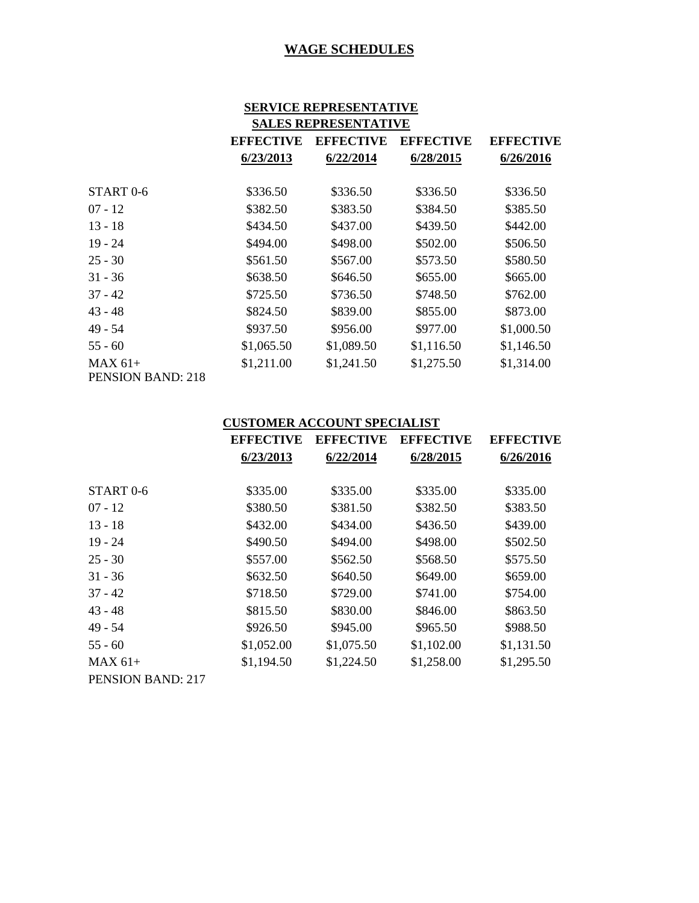| <b>SERVICE REPRESENTATIVE</b><br><b>SALES REPRESENTATIVE</b> |                  |                  |            |            |
|--------------------------------------------------------------|------------------|------------------|------------|------------|
|                                                              | <b>EFFECTIVE</b> | <b>EFFECTIVE</b> |            |            |
|                                                              | 6/23/2013        | 6/22/2014        | 6/28/2015  | 6/26/2016  |
| START 0-6                                                    | \$336.50         | \$336.50         | \$336.50   | \$336.50   |
| $07 - 12$                                                    | \$382.50         | \$383.50         | \$384.50   | \$385.50   |
| $13 - 18$                                                    | \$434.50         | \$437.00         | \$439.50   | \$442.00   |
| $19 - 24$                                                    | \$494.00         | \$498.00         | \$502.00   | \$506.50   |
| $25 - 30$                                                    | \$561.50         | \$567.00         | \$573.50   | \$580.50   |
| $31 - 36$                                                    | \$638.50         | \$646.50         | \$655.00   | \$665.00   |
| $37 - 42$                                                    | \$725.50         | \$736.50         | \$748.50   | \$762.00   |
| $43 - 48$                                                    | \$824.50         | \$839.00         | \$855.00   | \$873.00   |
| 49 - 54                                                      | \$937.50         | \$956.00         | \$977.00   | \$1,000.50 |
| $55 - 60$                                                    | \$1,065.50       | \$1,089.50       | \$1,116.50 | \$1,146.50 |
| $MAX 61+$<br><b>PENSION BAND: 218</b>                        | \$1,211.00       | \$1,241.50       | \$1,275.50 | \$1,314.00 |

#### **CUSTOMER ACCOUNT SPECIALIST**

|                          | <b>EFFECTIVE</b><br>6/23/2013 | <b>EFFECTIVE</b> | <b>EFFECTIVE</b> | <b>EFFECTIVE</b><br>6/26/2016 |
|--------------------------|-------------------------------|------------------|------------------|-------------------------------|
|                          |                               | 6/22/2014        | 6/28/2015        |                               |
| START <sub>0-6</sub>     | \$335.00                      | \$335.00         | \$335.00         | \$335.00                      |
| $07 - 12$                | \$380.50                      | \$381.50         | \$382.50         | \$383.50                      |
| $13 - 18$                | \$432.00                      | \$434.00         | \$436.50         | \$439.00                      |
| $19 - 24$                | \$490.50                      | \$494.00         | \$498.00         | \$502.50                      |
| $25 - 30$                | \$557.00                      | \$562.50         | \$568.50         | \$575.50                      |
| $31 - 36$                | \$632.50                      | \$640.50         | \$649.00         | \$659.00                      |
| $37 - 42$                | \$718.50                      | \$729.00         | \$741.00         | \$754.00                      |
| $43 - 48$                | \$815.50                      | \$830.00         | \$846.00         | \$863.50                      |
| 49 - 54                  | \$926.50                      | \$945.00         | \$965.50         | \$988.50                      |
| $55 - 60$                | \$1,052.00                    | \$1,075.50       | \$1,102.00       | \$1,131.50                    |
| $MAX 61+$                | \$1,194.50                    | \$1,224.50       | \$1,258.00       | \$1,295.50                    |
| <b>PENSION BAND: 217</b> |                               |                  |                  |                               |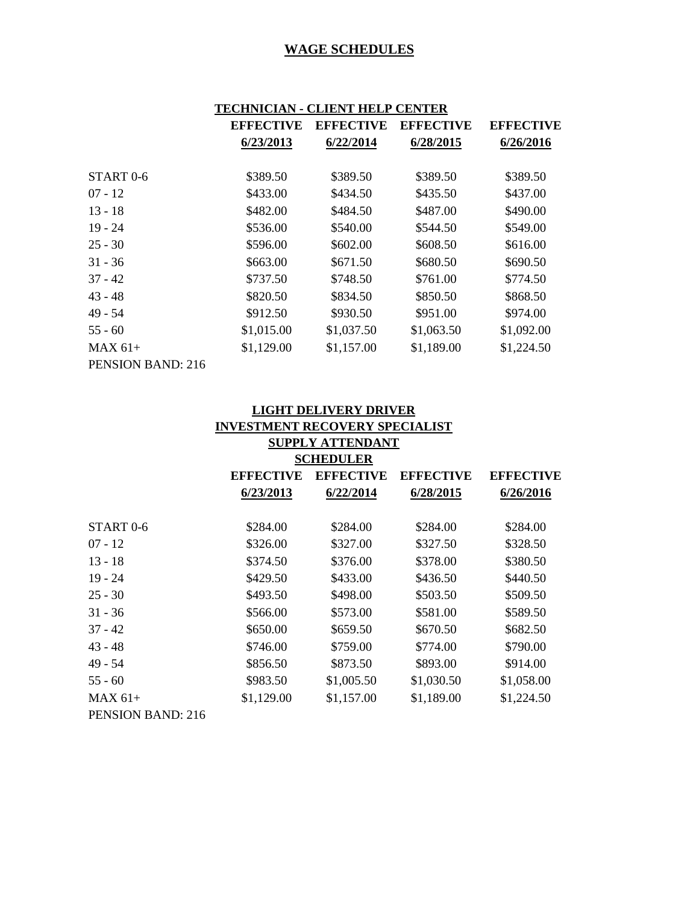| TECHNICIAN - CLIENT HELP<br><b>CENTER</b> |                  |                  |                  |                  |
|-------------------------------------------|------------------|------------------|------------------|------------------|
|                                           | <b>EFFECTIVE</b> | <b>EFFECTIVE</b> | <b>EFFECTIVE</b> | <b>EFFECTIVE</b> |
|                                           | 6/23/2013        | 6/22/2014        | 6/28/2015        | 6/26/2016        |
| START <sub>0-6</sub>                      | \$389.50         | \$389.50         | \$389.50         | \$389.50         |
| $07 - 12$                                 | \$433.00         | \$434.50         | \$435.50         | \$437.00         |
| $13 - 18$                                 | \$482.00         | \$484.50         | \$487.00         | \$490.00         |
| $19 - 24$                                 | \$536.00         | \$540.00         | \$544.50         | \$549.00         |
| $25 - 30$                                 | \$596.00         | \$602.00         | \$608.50         | \$616.00         |
| $31 - 36$                                 | \$663.00         | \$671.50         | \$680.50         | \$690.50         |
| $37 - 42$                                 | \$737.50         | \$748.50         | \$761.00         | \$774.50         |
| $43 - 48$                                 | \$820.50         | \$834.50         | \$850.50         | \$868.50         |
| 49 - 54                                   | \$912.50         | \$930.50         | \$951.00         | \$974.00         |
| $55 - 60$                                 | \$1,015.00       | \$1,037.50       | \$1,063.50       | \$1,092.00       |
| $MAX 61+$                                 | \$1,129.00       | \$1,157.00       | \$1,189.00       | \$1,224.50       |
| PENSION BAND: 216                         |                  |                  |                  |                  |

| <b>LIGHT DELIVERY DRIVER</b>          |                  |                  |                  |                  |  |
|---------------------------------------|------------------|------------------|------------------|------------------|--|
| <b>INVESTMENT RECOVERY SPECIALIST</b> |                  |                  |                  |                  |  |
|                                       |                  | SUPPLY ATTENDANT |                  |                  |  |
| <b>SCHEDULER</b>                      |                  |                  |                  |                  |  |
|                                       | <b>EFFECTIVE</b> | <b>EFFECTIVE</b> | <b>EFFECTIVE</b> | <b>EFFECTIVE</b> |  |
|                                       | 6/23/2013        | 6/22/2014        | 6/28/2015        | 6/26/2016        |  |
|                                       |                  |                  |                  |                  |  |
| START <sub>0-6</sub>                  | \$284.00         | \$284.00         | \$284.00         | \$284.00         |  |
| $07 - 12$                             | \$326.00         | \$327.00         | \$327.50         | \$328.50         |  |
| $13 - 18$                             | \$374.50         | \$376.00         | \$378.00         | \$380.50         |  |
| $19 - 24$                             | \$429.50         | \$433.00         | \$436.50         | \$440.50         |  |
| $25 - 30$                             | \$493.50         | \$498.00         | \$503.50         | \$509.50         |  |
| $31 - 36$                             | \$566.00         | \$573.00         | \$581.00         | \$589.50         |  |
| $37 - 42$                             | \$650.00         | \$659.50         | \$670.50         | \$682.50         |  |
| $43 - 48$                             | \$746.00         | \$759.00         | \$774.00         | \$790.00         |  |
| $49 - 54$                             | \$856.50         | \$873.50         | \$893.00         | \$914.00         |  |
| $55 - 60$                             | \$983.50         | \$1,005.50       | \$1,030.50       | \$1,058.00       |  |
| $MAX 61+$                             | \$1,129.00       | \$1,157.00       | \$1,189.00       | \$1,224.50       |  |
| <b>PENSION BAND: 216</b>              |                  |                  |                  |                  |  |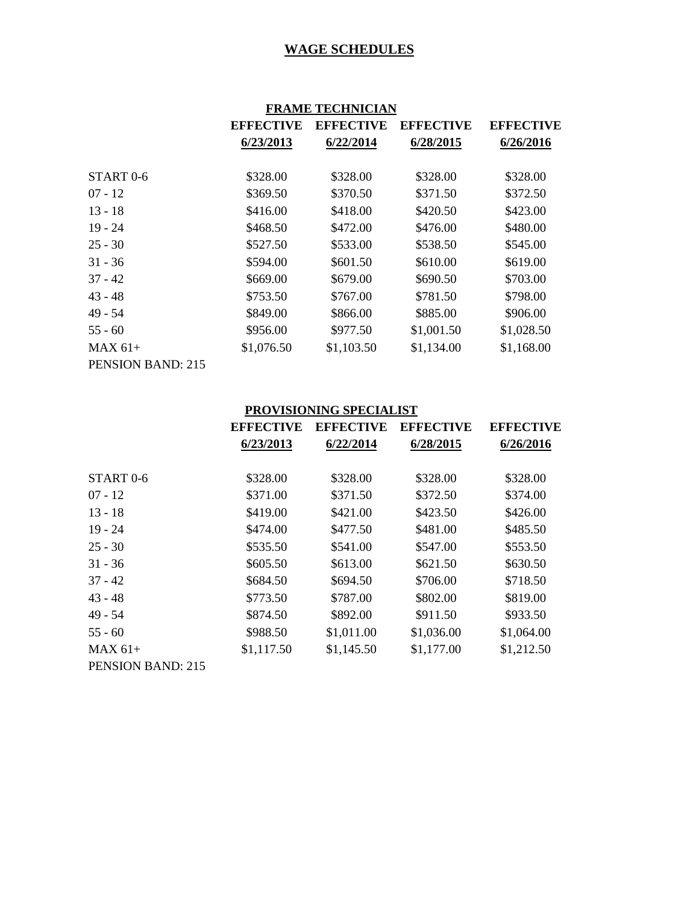|                          | <b>FRAME TECHNICIAN</b> |                  |                  |                  |  |
|--------------------------|-------------------------|------------------|------------------|------------------|--|
|                          | <b>EFFECTIVE</b>        | <b>EFFECTIVE</b> | <b>EFFECTIVE</b> | <b>EFFECTIVE</b> |  |
|                          | 6/23/2013               | 6/22/2014        | 6/28/2015        | 6/26/2016        |  |
| START <sub>0-6</sub>     | \$328.00                | \$328.00         | \$328.00         | \$328.00         |  |
| $07 - 12$                | \$369.50                | \$370.50         | \$371.50         | \$372.50         |  |
| $13 - 18$                | \$416.00                | \$418.00         | \$420.50         | \$423.00         |  |
| $19 - 24$                | \$468.50                | \$472.00         | \$476.00         | \$480.00         |  |
| $25 - 30$                | \$527.50                | \$533.00         | \$538.50         | \$545.00         |  |
| $31 - 36$                | \$594.00                | \$601.50         | \$610.00         | \$619.00         |  |
| $37 - 42$                | \$669.00                | \$679.00         | \$690.50         | \$703.00         |  |
| $43 - 48$                | \$753.50                | \$767.00         | \$781.50         | \$798.00         |  |
| 49 - 54                  | \$849.00                | \$866.00         | \$885.00         | \$906.00         |  |
| $55 - 60$                | \$956.00                | \$977.50         | \$1,001.50       | \$1,028.50       |  |
| $MAX 61+$                | \$1,076.50              | \$1,103.50       | \$1,134.00       | \$1,168.00       |  |
| <b>PENSION BAND: 215</b> |                         |                  |                  |                  |  |

# **PROVISIONING SPECIALIST**

|                          | <b>EFFECTIVE</b> | <b>EFFECTIVE</b> | <b>EFFECTIVE</b> | <b>EFFECTIVE</b> |
|--------------------------|------------------|------------------|------------------|------------------|
|                          | 6/23/2013        | 6/22/2014        | 6/28/2015        | 6/26/2016        |
| START <sub>0-6</sub>     | \$328.00         | \$328.00         | \$328.00         | \$328.00         |
|                          |                  |                  |                  |                  |
| $07 - 12$                | \$371.00         | \$371.50         | \$372.50         | \$374.00         |
| $13 - 18$                | \$419.00         | \$421.00         | \$423.50         | \$426.00         |
| $19 - 24$                | \$474.00         | \$477.50         | \$481.00         | \$485.50         |
| $25 - 30$                | \$535.50         | \$541.00         | \$547.00         | \$553.50         |
| $31 - 36$                | \$605.50         | \$613.00         | \$621.50         | \$630.50         |
| $37 - 42$                | \$684.50         | \$694.50         | \$706.00         | \$718.50         |
| $43 - 48$                | \$773.50         | \$787.00         | \$802.00         | \$819.00         |
| $49 - 54$                | \$874.50         | \$892.00         | \$911.50         | \$933.50         |
| $55 - 60$                | \$988.50         | \$1,011.00       | \$1,036.00       | \$1,064.00       |
| $MAX 61+$                | \$1,117.50       | \$1,145.50       | \$1,177.00       | \$1,212.50       |
| <b>PENSION BAND: 215</b> |                  |                  |                  |                  |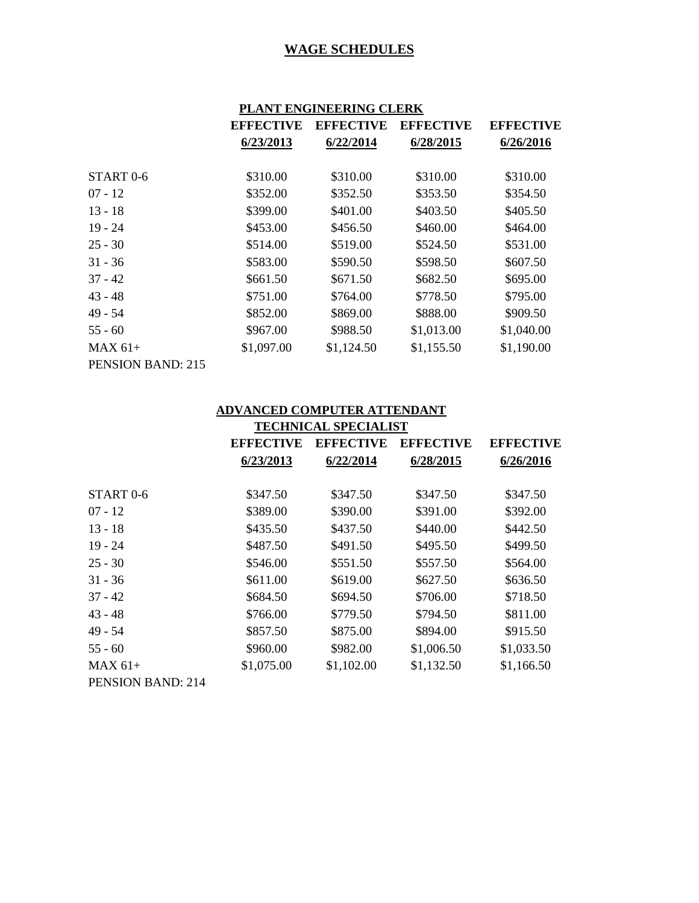|                      | PLANT ENGINEERING CLERK |                  |                  |                  |
|----------------------|-------------------------|------------------|------------------|------------------|
|                      | <b>EFFECTIVE</b>        | <b>EFFECTIVE</b> | <b>EFFECTIVE</b> | <b>EFFECTIVE</b> |
|                      | 6/23/2013               | 6/22/2014        | 6/28/2015        | 6/26/2016        |
| START <sub>0-6</sub> | \$310.00                | \$310.00         | \$310.00         | \$310.00         |
| $07 - 12$            | \$352.00                | \$352.50         | \$353.50         | \$354.50         |
| $13 - 18$            | \$399.00                | \$401.00         | \$403.50         | \$405.50         |
| $19 - 24$            | \$453.00                | \$456.50         | \$460.00         | \$464.00         |
| $25 - 30$            | \$514.00                | \$519.00         | \$524.50         | \$531.00         |
| $31 - 36$            | \$583.00                | \$590.50         | \$598.50         | \$607.50         |
| $37 - 42$            | \$661.50                | \$671.50         | \$682.50         | \$695.00         |
| $43 - 48$            | \$751.00                | \$764.00         | \$778.50         | \$795.00         |
| $49 - 54$            | \$852.00                | \$869.00         | \$888.00         | \$909.50         |
| $55 - 60$            | \$967.00                | \$988.50         | \$1,013.00       | \$1,040.00       |
| $MAX 61+$            | \$1,097.00              | \$1,124.50       | \$1,155.50       | \$1,190.00       |
| PENSION BAND: 215    |                         |                  |                  |                  |

#### **ADVANCED COMPUTER ATTENDANT**

|                          | <b>TECHNICAL SPECIALIST</b> |                  |                  |                  |
|--------------------------|-----------------------------|------------------|------------------|------------------|
|                          | <b>EFFECTIVE</b>            | <b>EFFECTIVE</b> | <b>EFFECTIVE</b> | <b>EFFECTIVE</b> |
|                          | 6/23/2013                   | 6/22/2014        | 6/28/2015        | 6/26/2016        |
| START <sub>0</sub> -6    | \$347.50                    | \$347.50         | \$347.50         | \$347.50         |
| $07 - 12$                | \$389.00                    | \$390.00         | \$391.00         | \$392.00         |
| $13 - 18$                | \$435.50                    | \$437.50         | \$440.00         | \$442.50         |
| $19 - 24$                | \$487.50                    | \$491.50         | \$495.50         | \$499.50         |
| $25 - 30$                | \$546.00                    | \$551.50         | \$557.50         | \$564.00         |
| $31 - 36$                | \$611.00                    | \$619.00         | \$627.50         | \$636.50         |
| $37 - 42$                | \$684.50                    | \$694.50         | \$706.00         | \$718.50         |
| $43 - 48$                | \$766.00                    | \$779.50         | \$794.50         | \$811.00         |
| 49 - 54                  | \$857.50                    | \$875.00         | \$894.00         | \$915.50         |
| $55 - 60$                | \$960.00                    | \$982.00         | \$1,006.50       | \$1,033.50       |
| $MAX 61+$                | \$1,075.00                  | \$1,102.00       | \$1,132.50       | \$1,166.50       |
| <b>PENSION BAND: 214</b> |                             |                  |                  |                  |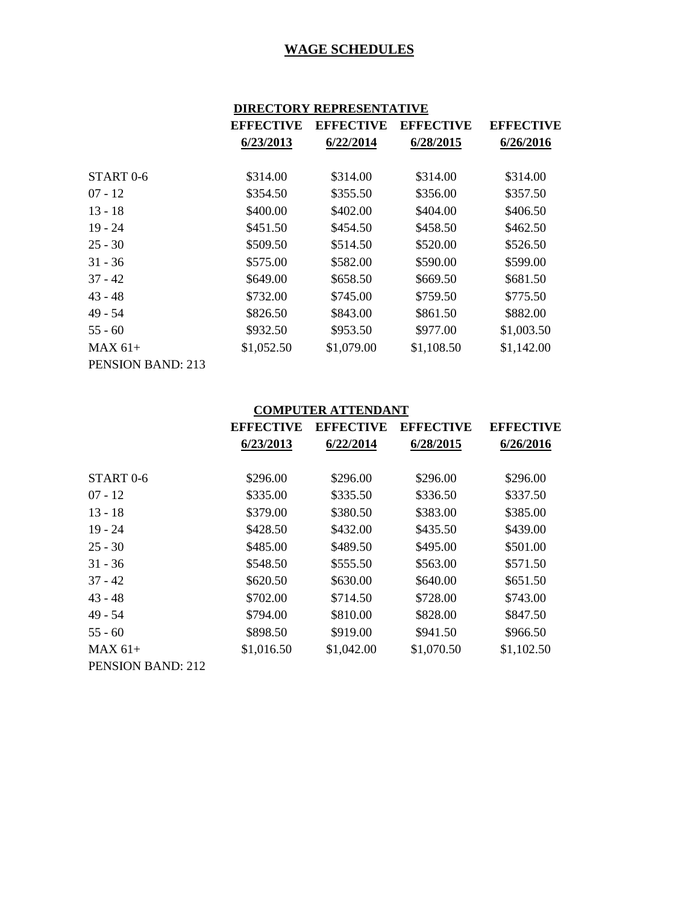# **DIRECTORY REPRESENTATIVE**

|                          | <b>EFFECTIVE</b> | <b>EFFECTIVE</b> | <b>EFFECTIVE</b> | <b>EFFECTIVE</b> |
|--------------------------|------------------|------------------|------------------|------------------|
|                          | 6/23/2013        | 6/22/2014        | 6/28/2015        | 6/26/2016        |
|                          |                  |                  |                  |                  |
| START <sub>0-6</sub>     | \$314.00         | \$314.00         | \$314.00         | \$314.00         |
| $07 - 12$                | \$354.50         | \$355.50         | \$356.00         | \$357.50         |
| $13 - 18$                | \$400.00         | \$402.00         | \$404.00         | \$406.50         |
| $19 - 24$                | \$451.50         | \$454.50         | \$458.50         | \$462.50         |
| $25 - 30$                | \$509.50         | \$514.50         | \$520.00         | \$526.50         |
| $31 - 36$                | \$575.00         | \$582.00         | \$590.00         | \$599.00         |
| $37 - 42$                | \$649.00         | \$658.50         | \$669.50         | \$681.50         |
| $43 - 48$                | \$732.00         | \$745.00         | \$759.50         | \$775.50         |
| 49 - 54                  | \$826.50         | \$843.00         | \$861.50         | \$882.00         |
| $55 - 60$                | \$932.50         | \$953.50         | \$977.00         | \$1,003.50       |
| $MAX 61+$                | \$1,052.50       | \$1,079.00       | \$1,108.50       | \$1,142.00       |
| <b>PENSION BAND: 213</b> |                  |                  |                  |                  |

#### **COMPUTER ATTENDANT**

|                          | <b>EFFECTIVE</b> | <b>EFFECTIVE</b> | <b>EFFECTIVE</b> | <b>EFFECTIVE</b> |
|--------------------------|------------------|------------------|------------------|------------------|
|                          | 6/23/2013        | 6/22/2014        | 6/28/2015        | 6/26/2016        |
|                          |                  |                  |                  |                  |
| START <sub>0-6</sub>     | \$296.00         | \$296.00         | \$296.00         | \$296.00         |
| $07 - 12$                | \$335.00         | \$335.50         | \$336.50         | \$337.50         |
| $13 - 18$                | \$379.00         | \$380.50         | \$383.00         | \$385.00         |
| $19 - 24$                | \$428.50         | \$432.00         | \$435.50         | \$439.00         |
| $25 - 30$                | \$485.00         | \$489.50         | \$495.00         | \$501.00         |
| $31 - 36$                | \$548.50         | \$555.50         | \$563.00         | \$571.50         |
| $37 - 42$                | \$620.50         | \$630.00         | \$640.00         | \$651.50         |
| $43 - 48$                | \$702.00         | \$714.50         | \$728.00         | \$743.00         |
| $49 - 54$                | \$794.00         | \$810.00         | \$828.00         | \$847.50         |
| $55 - 60$                | \$898.50         | \$919.00         | \$941.50         | \$966.50         |
| $MAX 61+$                | \$1,016.50       | \$1,042.00       | \$1,070.50       | \$1,102.50       |
| <b>PENSION BAND: 212</b> |                  |                  |                  |                  |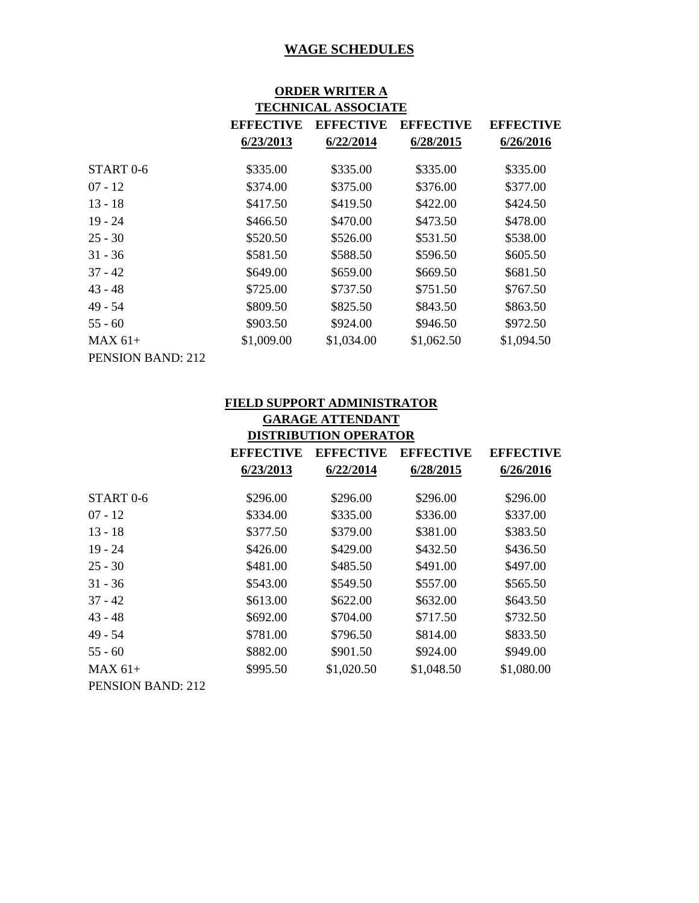#### **ORDER WRITER A TECHNICAL ASSOCIATE**

|                      | 110011111011100001111111 |                  |                  |                  |
|----------------------|--------------------------|------------------|------------------|------------------|
|                      | <b>EFFECTIVE</b>         | <b>EFFECTIVE</b> | <b>EFFECTIVE</b> | <b>EFFECTIVE</b> |
|                      | 6/23/2013                | 6/22/2014        | 6/28/2015        | 6/26/2016        |
| START <sub>0-6</sub> | \$335.00                 | \$335.00         | \$335.00         | \$335.00         |
| $07 - 12$            | \$374.00                 | \$375.00         | \$376.00         | \$377.00         |
| 13 - 18              | \$417.50                 | \$419.50         | \$422.00         | \$424.50         |
| $19 - 24$            | \$466.50                 | \$470.00         | \$473.50         | \$478.00         |
| 25 - 30              | \$520.50                 | \$526.00         | \$531.50         | \$538.00         |
| $31 - 36$            | \$581.50                 | \$588.50         | \$596.50         | \$605.50         |
| 37 - 42              | \$649.00                 | \$659.00         | \$669.50         | \$681.50         |
| 43 - 48              | \$725.00                 | \$737.50         | \$751.50         | \$767.50         |
| 49 - 54              | \$809.50                 | \$825.50         | \$843.50         | \$863.50         |
| $55 - 60$            | \$903.50                 | \$924.00         | \$946.50         | \$972.50         |
| MAX 61+              | \$1,009.00               | \$1,034.00       | \$1,062.50       | \$1,094.50       |
| PENSION BAND: 212    |                          |                  |                  |                  |

# **FIELD SUPPORT ADMINISTRATOR**

| <b>GARAGE ATTENDANT</b>      |                  |                  |                  |                  |
|------------------------------|------------------|------------------|------------------|------------------|
| <b>DISTRIBUTION OPERATOR</b> |                  |                  |                  |                  |
|                              | <b>EFFECTIVE</b> | <b>EFFECTIVE</b> | <b>EFFECTIVE</b> | <b>EFFECTIVE</b> |
|                              | 6/23/2013        | 6/22/2014        | 6/28/2015        | 6/26/2016        |
| START 0-6                    | \$296.00         | \$296.00         | \$296.00         | \$296.00         |
| $07 - 12$                    | \$334.00         | \$335.00         | \$336.00         | \$337.00         |
| $13 - 18$                    | \$377.50         | \$379.00         | \$381.00         | \$383.50         |
| $19 - 24$                    | \$426.00         | \$429.00         | \$432.50         | \$436.50         |
| $25 - 30$                    | \$481.00         | \$485.50         | \$491.00         | \$497.00         |
| $31 - 36$                    | \$543.00         | \$549.50         | \$557.00         | \$565.50         |
| $37 - 42$                    | \$613.00         | \$622.00         | \$632.00         | \$643.50         |
| $43 - 48$                    | \$692.00         | \$704.00         | \$717.50         | \$732.50         |
| 49 - 54                      | \$781.00         | \$796.50         | \$814.00         | \$833.50         |
| $55 - 60$                    | \$882.00         | \$901.50         | \$924.00         | \$949.00         |
| $MAX 61+$                    | \$995.50         | \$1,020.50       | \$1,048.50       | \$1,080.00       |
| <b>PENSION BAND: 212</b>     |                  |                  |                  |                  |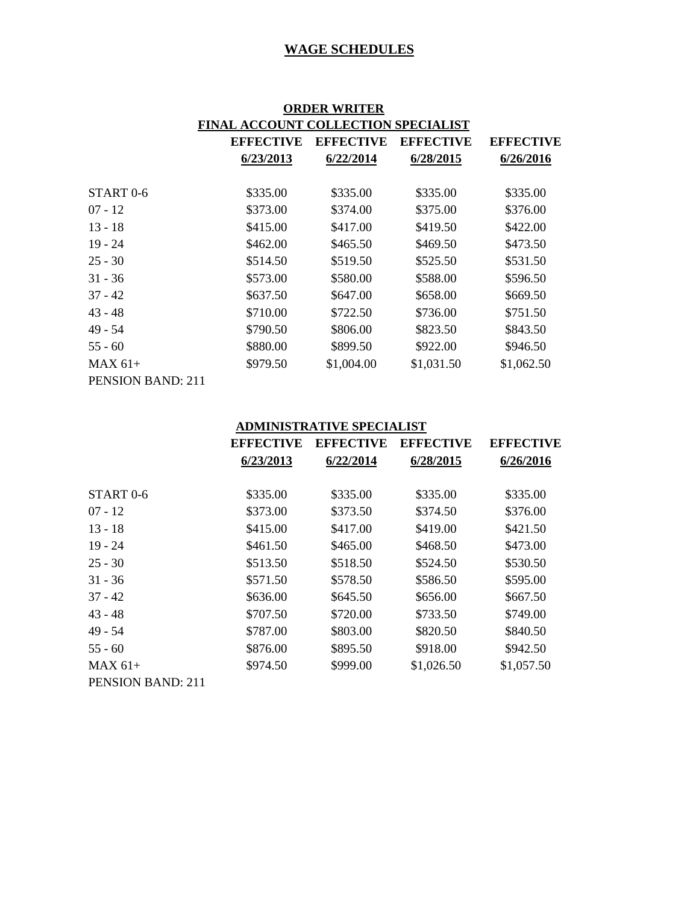| <b>ORDER WRITER</b>                        |                  |                  |                  |                  |  |
|--------------------------------------------|------------------|------------------|------------------|------------------|--|
| <b>FINAL ACCOUNT COLLECTION SPECIALIST</b> |                  |                  |                  |                  |  |
|                                            | <b>EFFECTIVE</b> | <b>EFFECTIVE</b> | <b>EFFECTIVE</b> | <b>EFFECTIVE</b> |  |
|                                            | 6/23/2013        | 6/22/2014        | 6/28/2015        | 6/26/2016        |  |
|                                            |                  |                  |                  |                  |  |
| START <sub>0-6</sub>                       | \$335.00         | \$335.00         | \$335.00         | \$335.00         |  |
| $07 - 12$                                  | \$373.00         | \$374.00         | \$375.00         | \$376.00         |  |
| $13 - 18$                                  | \$415.00         | \$417.00         | \$419.50         | \$422.00         |  |
| $19 - 24$                                  | \$462.00         | \$465.50         | \$469.50         | \$473.50         |  |
| $25 - 30$                                  | \$514.50         | \$519.50         | \$525.50         | \$531.50         |  |
| $31 - 36$                                  | \$573.00         | \$580.00         | \$588.00         | \$596.50         |  |
| $37 - 42$                                  | \$637.50         | \$647.00         | \$658.00         | \$669.50         |  |
| $43 - 48$                                  | \$710.00         | \$722.50         | \$736.00         | \$751.50         |  |
| $49 - 54$                                  | \$790.50         | \$806.00         | \$823.50         | \$843.50         |  |
| $55 - 60$                                  | \$880.00         | \$899.50         | \$922.00         | \$946.50         |  |
| $MAX 61+$                                  | \$979.50         | \$1,004.00       | \$1,031.50       | \$1,062.50       |  |
| <b>PENSION BAND: 211</b>                   |                  |                  |                  |                  |  |

#### **ADMINISTRATIVE SPECIALIST**

|                      | <b>EFFECTIVE</b> | <b>EFFECTIVE</b> | <b>EFFECTIVE</b> | <b>EFFECTIVE</b> |
|----------------------|------------------|------------------|------------------|------------------|
|                      | 6/23/2013        | 6/22/2014        | 6/28/2015        | 6/26/2016        |
| START <sub>0-6</sub> | \$335.00         | \$335.00         | \$335.00         | \$335.00         |
| $07 - 12$            | \$373.00         | \$373.50         | \$374.50         | \$376.00         |
| $13 - 18$            | \$415.00         | \$417.00         | \$419.00         | \$421.50         |
| $19 - 24$            | \$461.50         | \$465.00         | \$468.50         | \$473.00         |
| $25 - 30$            | \$513.50         | \$518.50         | \$524.50         | \$530.50         |
| $31 - 36$            | \$571.50         | \$578.50         | \$586.50         | \$595.00         |
| $37 - 42$            | \$636.00         | \$645.50         | \$656.00         | \$667.50         |
| $43 - 48$            | \$707.50         | \$720.00         | \$733.50         | \$749.00         |
| 49 - 54              | \$787.00         | \$803.00         | \$820.50         | \$840.50         |
| $55 - 60$            | \$876.00         | \$895.50         | \$918.00         | \$942.50         |
| $MAX 61+$            | \$974.50         | \$999.00         | \$1,026.50       | \$1,057.50       |
| PENSION BAND: 211    |                  |                  |                  |                  |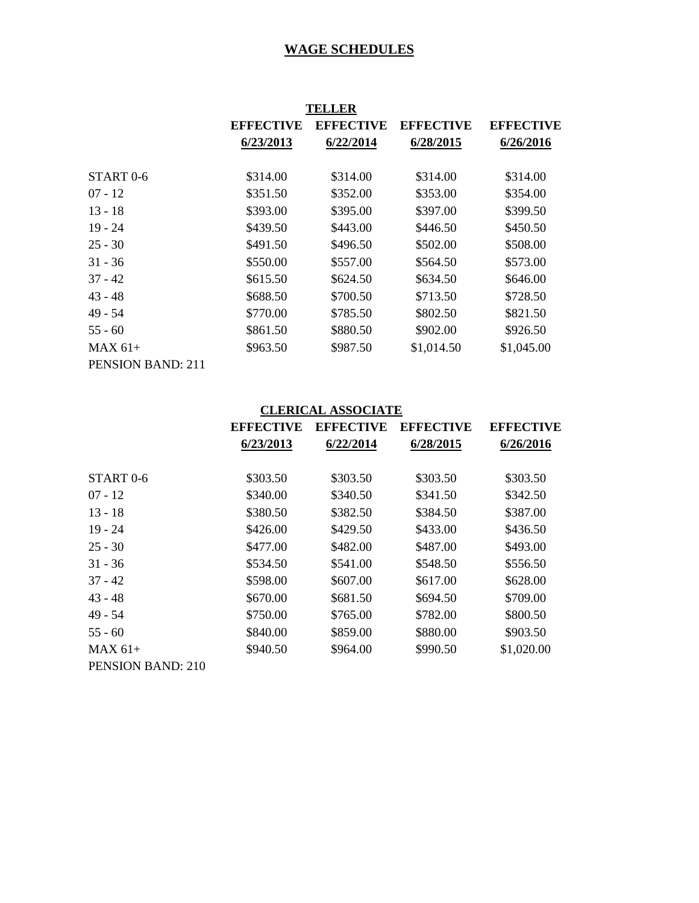| TELLER               |                  |                  |                  |                  |
|----------------------|------------------|------------------|------------------|------------------|
|                      | <b>EFFECTIVE</b> | <b>EFFECTIVE</b> | <b>EFFECTIVE</b> | <b>EFFECTIVE</b> |
|                      | 6/23/2013        | 6/22/2014        | 6/28/2015        | 6/26/2016        |
| START <sub>0-6</sub> | \$314.00         | \$314.00         | \$314.00         | \$314.00         |
| 07 - 12              | \$351.50         | \$352.00         | \$353.00         | \$354.00         |
| 13 - 18              | \$393.00         | \$395.00         | \$397.00         | \$399.50         |
| $19 - 24$            | \$439.50         | \$443.00         | \$446.50         | \$450.50         |
| 25 - 30              | \$491.50         | \$496.50         | \$502.00         | \$508.00         |
| $31 - 36$            | \$550.00         | \$557.00         | \$564.50         | \$573.00         |
| 37 - 42              | \$615.50         | \$624.50         | \$634.50         | \$646.00         |
| 43 - 48              | \$688.50         | \$700.50         | \$713.50         | \$728.50         |
| 49 - 54              | \$770.00         | \$785.50         | \$802.50         | \$821.50         |
| 55 - 60              | \$861.50         | \$880.50         | \$902.00         | \$926.50         |
| MAX 61+              | \$963.50         | \$987.50         | \$1,014.50       | \$1,045.00       |
| PENSION BAND: 211    |                  |                  |                  |                  |

# **CLERICAL ASSOCIATE**

|                      | <b>EFFECTIVE</b> | <b>EFFECTIVE</b> | <b>EFFECTIVE</b> | <b>EFFECTIVE</b> |
|----------------------|------------------|------------------|------------------|------------------|
|                      | 6/23/2013        | 6/22/2014        | 6/28/2015        | 6/26/2016        |
|                      |                  |                  |                  |                  |
| START <sub>0-6</sub> | \$303.50         | \$303.50         | \$303.50         | \$303.50         |
| $07 - 12$            | \$340.00         | \$340.50         | \$341.50         | \$342.50         |
| $13 - 18$            | \$380.50         | \$382.50         | \$384.50         | \$387.00         |
| $19 - 24$            | \$426.00         | \$429.50         | \$433.00         | \$436.50         |
| $25 - 30$            | \$477.00         | \$482.00         | \$487.00         | \$493.00         |
| $31 - 36$            | \$534.50         | \$541.00         | \$548.50         | \$556.50         |
| $37 - 42$            | \$598.00         | \$607.00         | \$617.00         | \$628.00         |
| $43 - 48$            | \$670.00         | \$681.50         | \$694.50         | \$709.00         |
| $49 - 54$            | \$750.00         | \$765.00         | \$782.00         | \$800.50         |
| $55 - 60$            | \$840.00         | \$859.00         | \$880.00         | \$903.50         |
| $MAX 61+$            | \$940.50         | \$964.00         | \$990.50         | \$1,020.00       |
| PENSION BAND: 210    |                  |                  |                  |                  |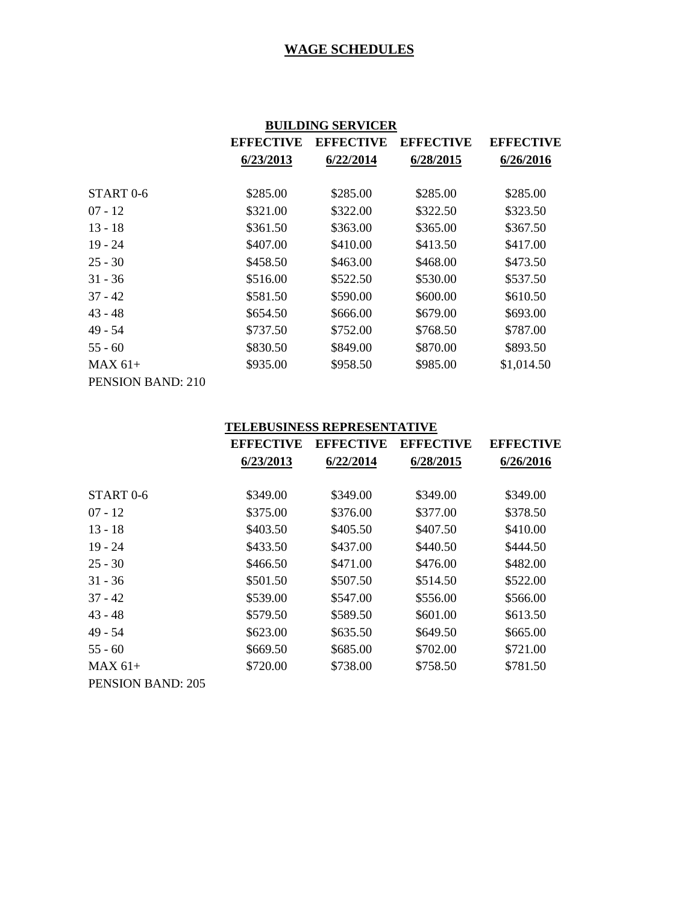|                          | <b>BUILDING SERVICER</b> |                  |                  |                  |
|--------------------------|--------------------------|------------------|------------------|------------------|
|                          | <b>EFFECTIVE</b>         | <b>EFFECTIVE</b> | <b>EFFECTIVE</b> | <b>EFFECTIVE</b> |
|                          | 6/23/2013                | 6/22/2014        | 6/28/2015        | 6/26/2016        |
|                          |                          |                  |                  |                  |
| START <sub>0-6</sub>     | \$285.00                 | \$285.00         | \$285.00         | \$285.00         |
| $07 - 12$                | \$321.00                 | \$322.00         | \$322.50         | \$323.50         |
| $13 - 18$                | \$361.50                 | \$363.00         | \$365.00         | \$367.50         |
| $19 - 24$                | \$407.00                 | \$410.00         | \$413.50         | \$417.00         |
| $25 - 30$                | \$458.50                 | \$463.00         | \$468.00         | \$473.50         |
| $31 - 36$                | \$516.00                 | \$522.50         | \$530.00         | \$537.50         |
| $37 - 42$                | \$581.50                 | \$590.00         | \$600.00         | \$610.50         |
| $43 - 48$                | \$654.50                 | \$666.00         | \$679.00         | \$693.00         |
| $49 - 54$                | \$737.50                 | \$752.00         | \$768.50         | \$787.00         |
| $55 - 60$                | \$830.50                 | \$849.00         | \$870.00         | \$893.50         |
| $MAX 61+$                | \$935.00                 | \$958.50         | \$985.00         | \$1,014.50       |
| <b>PENSION BAND: 210</b> |                          |                  |                  |                  |

#### **TELEBUSINESS REPRESENTATIVE**

|                       | <b>EFFECTIVE</b><br>6/23/2013 | <b>EFFECTIVE</b> | <b>EFFECTIVE</b><br>6/28/2015 | <b>EFFECTIVE</b><br>6/26/2016 |
|-----------------------|-------------------------------|------------------|-------------------------------|-------------------------------|
|                       |                               | 6/22/2014        |                               |                               |
| START <sub>0</sub> -6 | \$349.00                      | \$349.00         | \$349.00                      | \$349.00                      |
| $07 - 12$             | \$375.00                      | \$376.00         | \$377.00                      | \$378.50                      |
| $13 - 18$             | \$403.50                      | \$405.50         | \$407.50                      | \$410.00                      |
| $19 - 24$             | \$433.50                      | \$437.00         | \$440.50                      | \$444.50                      |
| $25 - 30$             | \$466.50                      | \$471.00         | \$476.00                      | \$482.00                      |
| $31 - 36$             | \$501.50                      | \$507.50         | \$514.50                      | \$522.00                      |
| $37 - 42$             | \$539.00                      | \$547.00         | \$556.00                      | \$566.00                      |
| $43 - 48$             | \$579.50                      | \$589.50         | \$601.00                      | \$613.50                      |
| 49 - 54               | \$623.00                      | \$635.50         | \$649.50                      | \$665.00                      |
| $55 - 60$             | \$669.50                      | \$685.00         | \$702.00                      | \$721.00                      |
| $MAX 61+$             | \$720.00                      | \$738.00         | \$758.50                      | \$781.50                      |
| PENSION BAND: 205     |                               |                  |                               |                               |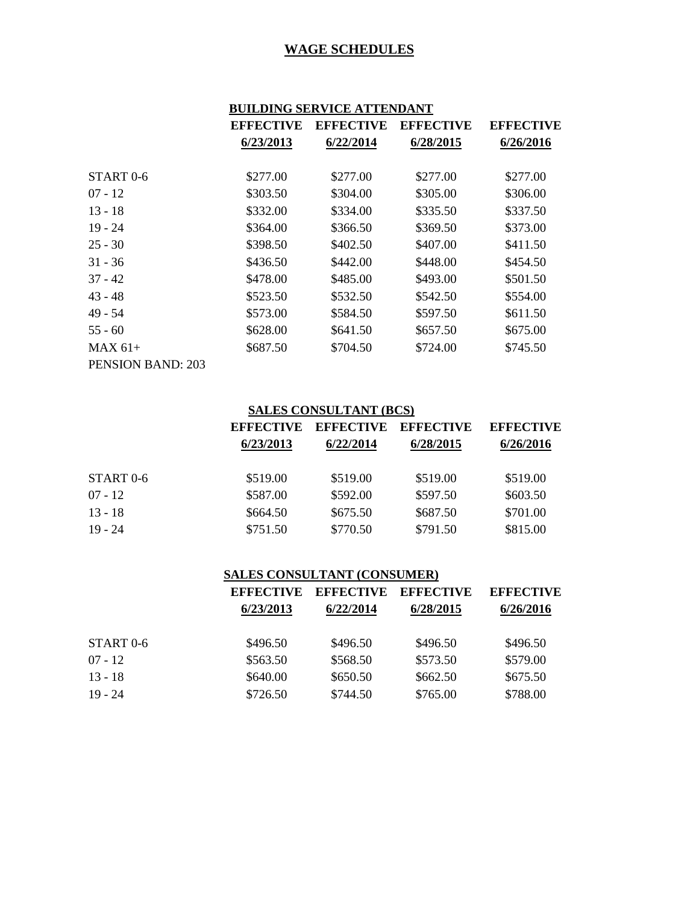# **BUILDING SERVICE ATTENDANT**

|                      | <b>EFFECTIVE</b> | <b>EFFECTIVE</b> | <b>EFFECTIVE</b> | <b>EFFECTIVE</b> |
|----------------------|------------------|------------------|------------------|------------------|
|                      | 6/23/2013        | 6/22/2014        | 6/28/2015        | 6/26/2016        |
|                      |                  |                  |                  |                  |
| START <sub>0-6</sub> | \$277.00         | \$277.00         | \$277.00         | \$277.00         |
| $07 - 12$            | \$303.50         | \$304.00         | \$305.00         | \$306.00         |
| $13 - 18$            | \$332.00         | \$334.00         | \$335.50         | \$337.50         |
| $19 - 24$            | \$364.00         | \$366.50         | \$369.50         | \$373.00         |
| $25 - 30$            | \$398.50         | \$402.50         | \$407.00         | \$411.50         |
| $31 - 36$            | \$436.50         | \$442.00         | \$448.00         | \$454.50         |
| $37 - 42$            | \$478.00         | \$485.00         | \$493.00         | \$501.50         |
| $43 - 48$            | \$523.50         | \$532.50         | \$542.50         | \$554.00         |
| $49 - 54$            | \$573.00         | \$584.50         | \$597.50         | \$611.50         |
| $55 - 60$            | \$628.00         | \$641.50         | \$657.50         | \$675.00         |
| $MAX 61+$            | \$687.50         | \$704.50         | \$724.00         | \$745.50         |
| PENSION BAND: 203    |                  |                  |                  |                  |

#### **SALES CONSULTANT (BCS)**

|           | <b>EFFECTIVE</b> | <b>EFFECTIVE</b><br>6/22/2014 | <b>EFFECTIVE</b><br>6/28/2015 | <b>EFFECTIVE</b><br>6/26/2016 |
|-----------|------------------|-------------------------------|-------------------------------|-------------------------------|
|           | 6/23/2013        |                               |                               |                               |
| START 0-6 | \$519.00         | \$519.00                      | \$519.00                      | \$519.00                      |
| $07 - 12$ | \$587.00         | \$592.00                      | \$597.50                      | \$603.50                      |
| $13 - 18$ | \$664.50         | \$675.50                      | \$687.50                      | \$701.00                      |
| $19 - 24$ | \$751.50         | \$770.50                      | \$791.50                      | \$815.00                      |

#### **SALES CONSULTANT (CONSUMER)**

|           | <b>EFFECTIVE</b> | <b>EFFECTIVE</b> | <b>EFFECTIVE</b> | <b>EFFECTIVE</b> |
|-----------|------------------|------------------|------------------|------------------|
|           | 6/23/2013        | 6/22/2014        | 6/28/2015        | 6/26/2016        |
|           | \$496.50         |                  |                  |                  |
| START 0-6 |                  | \$496.50         | \$496.50         | \$496.50         |
| $07 - 12$ | \$563.50         | \$568.50         | \$573.50         | \$579.00         |
| $13 - 18$ | \$640.00         | \$650.50         | \$662.50         | \$675.50         |
| $19 - 24$ | \$726.50         | \$744.50         | \$765.00         | \$788.00         |